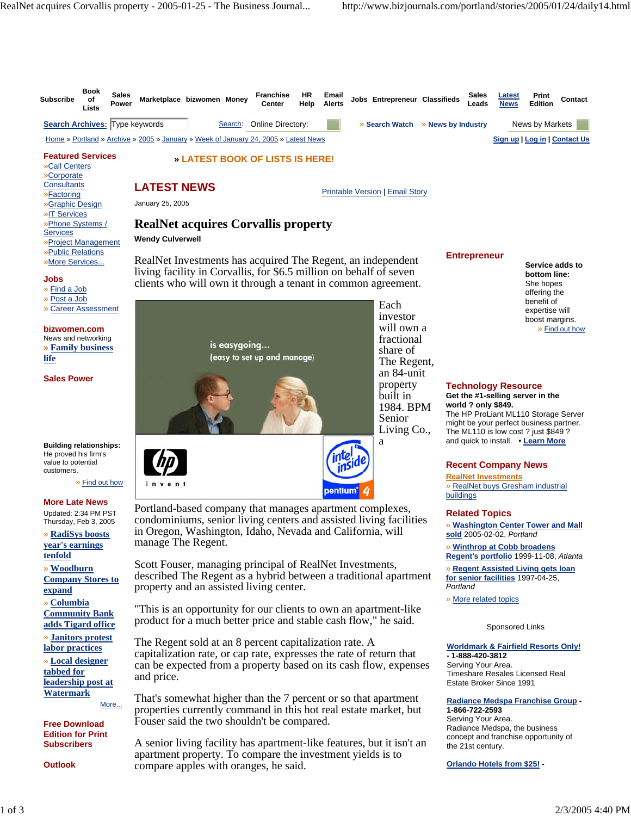

A senior living facility has apartment-like features, but it isn't an apartment property. To compare the investment yields is to compare apples with oranges, he said.

**Subscribers**

**Outlook**

the 21st century.

**Orlando Hotels from \$25! -**